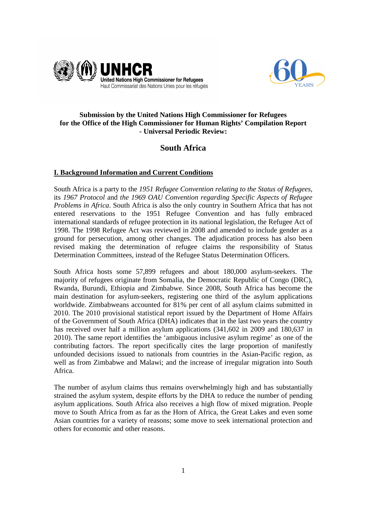



## **Submission by the United Nations High Commissioner for Refugees for the Office of the High Commissioner for Human Rights' Compilation Report - Universal Periodic Review:**

# **South Africa**

## **I. Background Information and Current Conditions**

South Africa is a party to the *1951 Refugee Convention relating to the Status of Refugees*, its *1967 Protocol* and *the 1969 OAU Convention regarding Specific Aspects of Refugee Problems in Africa*. South Africa is also the only country in Southern Africa that has not entered reservations to the 1951 Refugee Convention and has fully embraced international standards of refugee protection in its national legislation, the Refugee Act of 1998. The 1998 Refugee Act was reviewed in 2008 and amended to include gender as a ground for persecution, among other changes. The adjudication process has also been revised making the determination of refugee claims the responsibility of Status Determination Committees, instead of the Refugee Status Determination Officers.

South Africa hosts some 57,899 refugees and about 180,000 asylum-seekers. The majority of refugees originate from Somalia, the Democratic Republic of Congo (DRC), Rwanda, Burundi, Ethiopia and Zimbabwe. Since 2008, South Africa has become the main destination for asylum-seekers, registering one third of the asylum applications worldwide. Zimbabweans accounted for 81% per cent of all asylum claims submitted in 2010. The 2010 provisional statistical report issued by the Department of Home Affairs of the Government of South Africa (DHA) indicates that in the last two years the country has received over half a million asylum applications (341,602 in 2009 and 180,637 in 2010). The same report identifies the 'ambiguous inclusive asylum regime' as one of the contributing factors. The report specifically cites the large proportion of manifestly unfounded decisions issued to nationals from countries in the Asian-Pacific region, as well as from Zimbabwe and Malawi; and the increase of irregular migration into South Africa.

The number of asylum claims thus remains overwhelmingly high and has substantially strained the asylum system, despite efforts by the DHA to reduce the number of pending asylum applications. South Africa also receives a high flow of mixed migration. People move to South Africa from as far as the Horn of Africa, the Great Lakes and even some Asian countries for a variety of reasons; some move to seek international protection and others for economic and other reasons.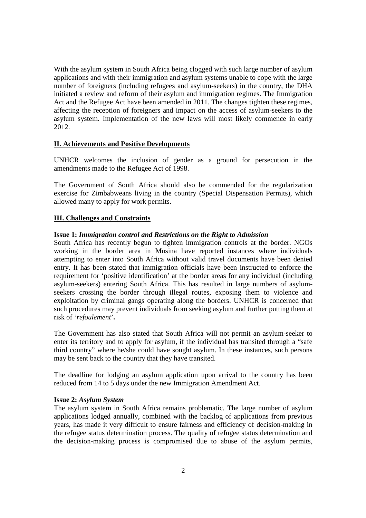With the asylum system in South Africa being clogged with such large number of asylum applications and with their immigration and asylum systems unable to cope with the large number of foreigners (including refugees and asylum-seekers) in the country, the DHA initiated a review and reform of their asylum and immigration regimes. The Immigration Act and the Refugee Act have been amended in 2011. The changes tighten these regimes, affecting the reception of foreigners and impact on the access of asylum-seekers to the asylum system. Implementation of the new laws will most likely commence in early 2012.

## **II. Achievements and Positive Developments**

UNHCR welcomes the inclusion of gender as a ground for persecution in the amendments made to the Refugee Act of 1998.

The Government of South Africa should also be commended for the regularization exercise for Zimbabweans living in the country (Special Dispensation Permits), which allowed many to apply for work permits.

## **III. Challenges and Constraints**

## **Issue 1:** *Immigration control and Restrictions on the Right to Admission*

South Africa has recently begun to tighten immigration controls at the border. NGOs working in the border area in Musina have reported instances where individuals attempting to enter into South Africa without valid travel documents have been denied entry. It has been stated that immigration officials have been instructed to enforce the requirement for 'positive identification' at the border areas for any individual (including asylum-seekers) entering South Africa. This has resulted in large numbers of asylumseekers crossing the border through illegal routes, exposing them to violence and exploitation by criminal gangs operating along the borders. UNHCR is concerned that such procedures may prevent individuals from seeking asylum and further putting them at risk of '*refoulement*'**.**

The Government has also stated that South Africa will not permit an asylum-seeker to enter its territory and to apply for asylum, if the individual has transited through a "safe third country" where he/she could have sought asylum. In these instances, such persons may be sent back to the country that they have transited.

The deadline for lodging an asylum application upon arrival to the country has been reduced from 14 to 5 days under the new Immigration Amendment Act.

#### **Issue 2:** *Asylum System*

The asylum system in South Africa remains problematic. The large number of asylum applications lodged annually, combined with the backlog of applications from previous years, has made it very difficult to ensure fairness and efficiency of decision-making in the refugee status determination process. The quality of refugee status determination and the decision-making process is compromised due to abuse of the asylum permits,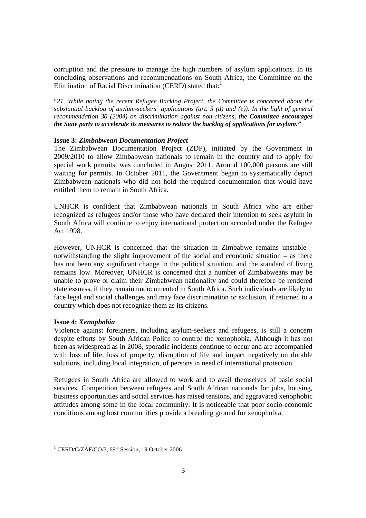corruption and the pressure to manage the high numbers of asylum applications. In its concluding observations and recommendations on South Africa, the Committee on the Elimination of Racial Discrimination (CERD) stated that:<sup>1</sup>

"*21. While noting the recent Refugee Backlog Project, the Committee is concerned about the substantial backlog of asylum-seekers' applications (art. 5 (d) and (e)). In the light of general recommendation 30 (2004) on discrimination against non-citizens, the Committee encourages the State party to accelerate its measures to reduce the backlog of applications for asylum."* 

## **Issue 3:** *Zimbabwean Documentation Project*

The Zimbabwean Documentation Project (ZDP), initiated by the Government in 2009/2010 to allow Zimbabwean nationals to remain in the country and to apply for special work permits, was concluded in August 2011. Around 100,000 persons are still waiting for permits. In October 2011, the Government began to systematically deport Zimbabwean nationals who did not hold the required documentation that would have entitled them to remain in South Africa.

UNHCR is confident that Zimbabwean nationals in South Africa who are either recognized as refugees and/or those who have declared their intention to seek asylum in South Africa will continue to enjoy international protection accorded under the Refugee Act 1998.

However, UNHCR is concerned that the situation in Zimbabwe remains unstable notwithstanding the slight improvement of the social and economic situation – as there has not been any significant change in the political situation, and the standard of living remains low. Moreover, UNHCR is concerned that a number of Zimbabweans may be unable to prove or claim their Zimbabwean nationality and could therefore be rendered statelessness, if they remain undocumented in South Africa. Such individuals are likely to face legal and social challenges and may face discrimination or exclusion, if returned to a country which does not recognize them as its citizens.

## **Issue 4:** *Xenophobia*

Violence against foreigners, including asylum-seekers and refugees, is still a concern despite efforts by South African Police to control the xenophobia. Although it has not been as widespread as in 2008, sporadic incidents continue to occur and are accompanied with loss of life, loss of property, disruption of life and impact negatively on durable solutions, including local integration, of persons in need of international protection.

Refugees in South Africa are allowed to work and to avail themselves of basic social services. Competition between refugees and South African nationals for jobs, housing, business opportunities and social services has raised tensions, and aggravated xenophobic attitudes among some in the local community. It is noticeable that poor socio-economic conditions among host communities provide a breeding ground for xenophobia.

<sup>1&</sup>lt;br>
<sup>1</sup> CERD/C/ZAF/CO/3, 69<sup>th</sup> Session, 19 October 2006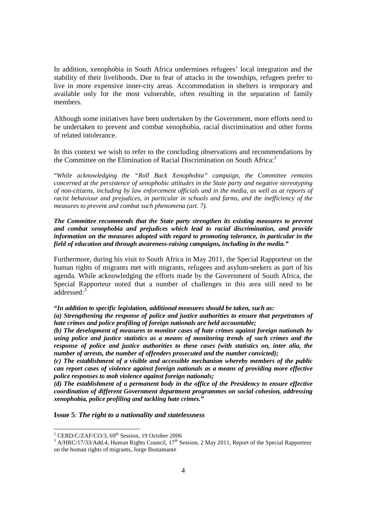In addition, xenophobia in South Africa undermines refugees' local integration and the stability of their livelihoods. Due to fear of attacks in the townships, refugees prefer to live in more expensive inner-city areas. Accommodation in shelters is temporary and available only for the most vulnerable, often resulting in the separation of family members.

Although some initiatives have been undertaken by the Government, more efforts need to be undertaken to prevent and combat xenophobia, racial discrimination and other forms of related intolerance.

In this context we wish to refer to the concluding observations and recommendations by the Committee on the Elimination of Racial Discrimination on South Africa: $2^2$ 

"*While acknowledging the "Roll Back Xenophobia" campaign, the Committee remains concerned at the persistence of xenophobic attitudes in the State party and negative stereotyping of non-citizens, including by law enforcement officials and in the media, as well as at reports of racist behaviour and prejudices, in particular in schools and farms, and the inefficiency of the measures to prevent and combat such phenomena (art. 7).*

*The Committee recommends that the State party strengthen its existing measures to prevent and combat xenophobia and prejudices which lead to racial discrimination, and provide information on the measures adopted with regard to promoting tolerance, in particular in the field of education and through awareness-raising campaigns, including in the media."* 

Furthermore, during his visit to South Africa in May 2011, the Special Rapporteur on the human rights of migrants met with migrants, refugees and asylum-seekers as part of his agenda. While acknowledging the efforts made by the Government of South Africa, the Special Rapporteur noted that a number of challenges in this area still need to be addressed:<sup>3</sup>

**"***In addition to specific legislation, additional measures should be taken, such as:* 

*(a) Strengthening the response of police and justice authorities to ensure that perpetrators of hate crimes and police profiling of foreign nationals are held accountable;* 

*(b) The development of measures to monitor cases of hate crimes against foreign nationals by using police and justice statistics as a means of monitoring trends of such crimes and the response of police and justice authorities to these cases (with statistics on, inter alia, the number of arrests, the number of offenders prosecuted and the number convicted);* 

*(c) The establishment of a visible and accessible mechanism whereby members of the public can report cases of violence against foreign nationals as a means of providing more effective police responses to mob violence against foreign nationals;* 

*(d) The establishment of a permanent body in the office of the Presidency to ensure effective coordination of different Government department programmes on social cohesion, addressing xenophobia, police profiling and tackling hate crimes."*

### **Issue 5**: *The right to a nationality and statelessness*

<sup>2&</sup>lt;br>
<sup>2</sup> CERD/C/ZAF/CO/3, 69<sup>th</sup> Session, 19 October 2006

 $3$  A/HRC/17/33/Add.4, Human Rights Council, 17<sup>th</sup> Session, 2 May 2011, Report of the Special Rapporteur on the human rights of migrants, Jorge Bustamante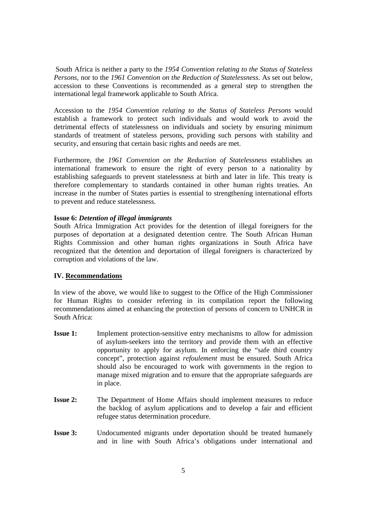South Africa is neither a party to the *1954 Convention relating to the Status of Stateless Persons*, nor to the *1961 Convention on the Reduction of Statelessness*. As set out below, accession to these Conventions is recommended as a general step to strengthen the international legal framework applicable to South Africa.

Accession to the *1954 Convention relating to the Status of Stateless Persons* would establish a framework to protect such individuals and would work to avoid the detrimental effects of statelessness on individuals and society by ensuring minimum standards of treatment of stateless persons, providing such persons with stability and security, and ensuring that certain basic rights and needs are met.

Furthermore, the *1961 Convention on the Reduction of Statelessness* establishes an international framework to ensure the right of every person to a nationality by establishing safeguards to prevent statelessness at birth and later in life. This treaty is therefore complementary to standards contained in other human rights treaties. An increase in the number of States parties is essential to strengthening international efforts to prevent and reduce statelessness.

## **Issue 6:** *Detention of illegal immigrants*

South Africa Immigration Act provides for the detention of illegal foreigners for the purposes of deportation at a designated detention centre. The South African Human Rights Commission and other human rights organizations in South Africa have recognized that the detention and deportation of illegal foreigners is characterized by corruption and violations of the law.

## **IV. Recommendations**

In view of the above, we would like to suggest to the Office of the High Commissioner for Human Rights to consider referring in its compilation report the following recommendations aimed at enhancing the protection of persons of concern to UNHCR in South Africa:

- **Issue 1:** Implement protection-sensitive entry mechanisms to allow for admission of asylum-seekers into the territory and provide them with an effective opportunity to apply for asylum. In enforcing the "safe third country concept", protection against *refoulement* must be ensured. South Africa should also be encouraged to work with governments in the region to manage mixed migration and to ensure that the appropriate safeguards are in place.
- **Issue 2:** The Department of Home Affairs should implement measures to reduce the backlog of asylum applications and to develop a fair and efficient refugee status determination procedure.
- **Issue 3:** Undocumented migrants under deportation should be treated humanely and in line with South Africa's obligations under international and